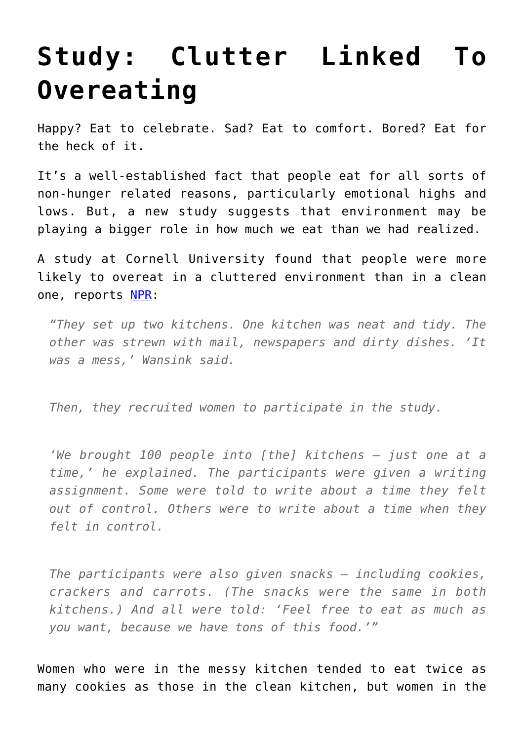## **[Study: Clutter Linked To](https://intellectualtakeout.org/2016/02/study-clutter-linked-to-overeating/) [Overeating](https://intellectualtakeout.org/2016/02/study-clutter-linked-to-overeating/)**

Happy? Eat to celebrate. Sad? Eat to comfort. Bored? Eat for the heck of it.

It's a well-established fact that people eat for all sorts of non-hunger related reasons, particularly emotional highs and lows. But, a new study suggests that environment may be playing a bigger role in how much we eat than we had realized.

A study at Cornell University found that people were more likely to overeat in a cluttered environment than in a clean one, reports [NPR:](http://www.npr.org/sections/thesalt/2016/02/15/466567647/a-cluttered-kitchen-can-nudge-us-to-overeat-study-finds)

*"They set up two kitchens. One kitchen was neat and tidy. The other was strewn with mail, newspapers and dirty dishes. 'It was a mess,' Wansink said.*

*Then, they recruited women to participate in the study.*

*'We brought 100 people into [the] kitchens — just one at a time,' he explained. The participants were given a writing assignment. Some were told to write about a time they felt out of control. Others were to write about a time when they felt in control.*

*The participants were also given snacks — including cookies, crackers and carrots. (The snacks were the same in both kitchens.) And all were told: 'Feel free to eat as much as you want, because we have tons of this food.'"*

Women who were in the messy kitchen tended to eat twice as many cookies as those in the clean kitchen, but women in the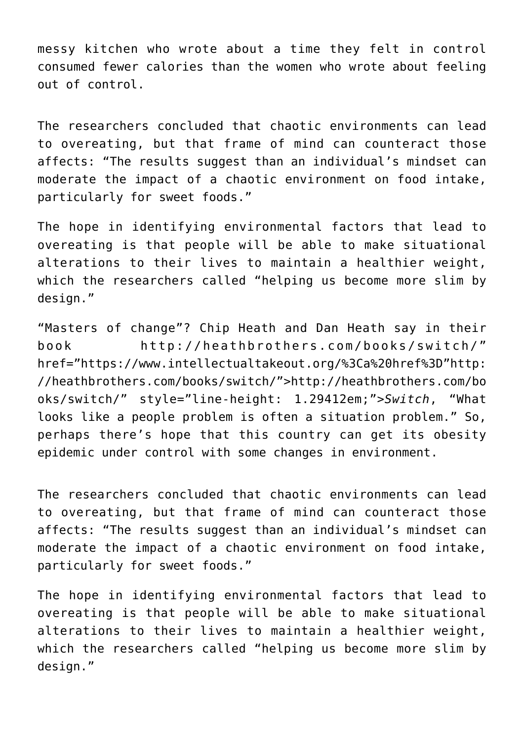messy kitchen who wrote about a time they felt in control consumed fewer calories than the women who wrote about feeling out of control.

The researchers concluded that chaotic environments can lead to overeating, but that frame of mind can counteract those affects: "The results suggest than an individual's mindset can moderate the impact of a chaotic environment on food intake, particularly for sweet foods."

The hope in identifying environmental factors that lead to overeating is that people will be able to make situational alterations to their lives to maintain a healthier weight, which the researchers called "helping us become more slim by design."

"Masters of change"? Chip Heath and Dan Heath say in their book http://heathbrothers.com/books/switch/" href="https://www.intellectualtakeout.org/%3Ca%20href%3D"http: //heathbrothers.com/books/switch/">http://heathbrothers.com/bo oks/switch/" style="line-height: 1.29412em;">*Switch*, "What looks like a people problem is often a situation problem." So, perhaps there's hope that this country can get its obesity epidemic under control with some changes in environment.

The researchers concluded that chaotic environments can lead to overeating, but that frame of mind can counteract those affects: "The results suggest than an individual's mindset can moderate the impact of a chaotic environment on food intake, particularly for sweet foods."

The hope in identifying environmental factors that lead to overeating is that people will be able to make situational alterations to their lives to maintain a healthier weight, which the researchers called "helping us become more slim by design."